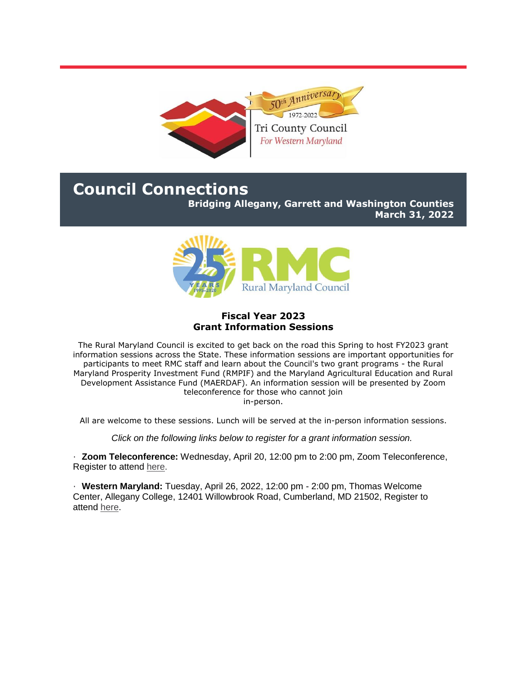

# **Council Connections**

**Bridging Allegany, Garrett and Washington Counties**

**March 31, 2022**



## **Fiscal Year 2023 Grant Information Sessions**

The Rural Maryland Council is excited to get back on the road this Spring to host FY2023 grant information sessions across the State. These information sessions are important opportunities for participants to meet RMC staff and learn about the Council's two grant programs - the Rural Maryland Prosperity Investment Fund (RMPIF) and the Maryland Agricultural Education and Rural Development Assistance Fund (MAERDAF). An information session will be presented by Zoom teleconference for those who cannot join in-person.

All are welcome to these sessions. Lunch will be served at the in-person information sessions.

*Click on the following links below to register for a grant information session.*

· **Zoom Teleconference:** Wednesday, April 20, 12:00 pm to 2:00 pm, Zoom Teleconference, Register to attend [here.](https://r20.rs6.net/tn.jsp?f=001i5Mkeb0YAMeCw-uedxai7kmm1MXwX_JZhkt_VYokyhhohJewPL9g1EydgQfsM_43om6pNpcNKTgb5W5FYyy16J5Ssc-eyK5x5Y6j1BaWyFVWN3HipoOxOjJK6h6simpix0tcEpiOntIVpzxr85asmnzS9629hrIpxBb6bcSzc2YMggcEgB--vfHUvyKc_i30E8iaMZjK70t0kwAXjWnulZ9QwxvB1feNIGfCQiVUUISb5GP25qvfww==&c=O5zFwHcoPGoY_WzIHJHkNcaJJUPyoPrzoS0OJLqENIUFkmz6nBOLDA==&ch=oYa8sKFbbIckxP9XMwpYarsb4qwxCnCTMwPjNMuH-Asy9YpbPZGyCQ==)

· **Western Maryland:** Tuesday, April 26, 2022, 12:00 pm - 2:00 pm, Thomas Welcome Center, Allegany College, 12401 Willowbrook Road, Cumberland, MD 21502, Register to attend [here.](https://r20.rs6.net/tn.jsp?f=001i5Mkeb0YAMeCw-uedxai7kmm1MXwX_JZhkt_VYokyhhohJewPL9g1EydgQfsM_43457k_HQTR4ECl30CiQ8tOT9FrspCp28UF3wVPPNExCmrdvBm0dzyGH1_DgqHoeDICqugCYY_4jEcfordEMZnMxwl5yEwUr8SNxUFgjmNPQ2UkGvcuEAK-kOB_5c_itT6NXNTAWPvaqtHdiVIuDgDDlK6R4wt1tbQCXbS69MmaJwJ8NWeBOA1BQ==&c=O5zFwHcoPGoY_WzIHJHkNcaJJUPyoPrzoS0OJLqENIUFkmz6nBOLDA==&ch=oYa8sKFbbIckxP9XMwpYarsb4qwxCnCTMwPjNMuH-Asy9YpbPZGyCQ==)